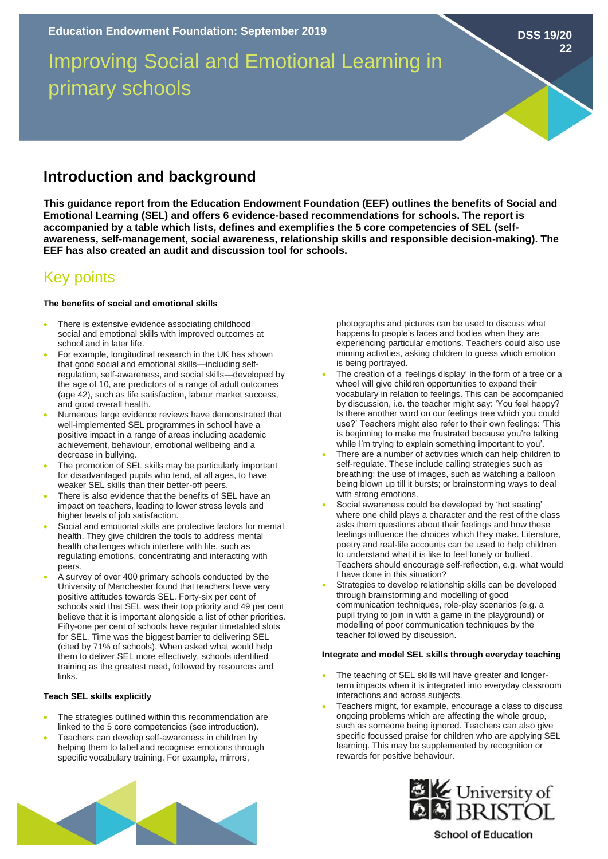Improving Social and Emotional Learning in primary schools

## **Introduction and background**

**This guidance report from the Education Endowment Foundation (EEF) outlines the benefits of Social and Emotional Learning (SEL) and offers 6 evidence-based recommendations for schools. The report is accompanied by a table which lists, defines and exemplifies the 5 core competencies of SEL (selfawareness, self-management, social awareness, relationship skills and responsible decision-making). The EEF has also created an audit and discussion tool for schools.** 

# Key points

### **The benefits of social and emotional skills**

- There is extensive evidence associating childhood social and emotional skills with improved outcomes at school and in later life.
- For example, longitudinal research in the UK has shown that good social and emotional skills—including selfregulation, self-awareness, and social skills—developed by the age of 10, are predictors of a range of adult outcomes (age 42), such as life satisfaction, labour market success, and good overall health.
- Numerous large evidence reviews have demonstrated that well-implemented SEL programmes in school have a positive impact in a range of areas including academic achievement, behaviour, emotional wellbeing and a decrease in bullying.
- The promotion of SEL skills may be particularly important for disadvantaged pupils who tend, at all ages, to have weaker SEL skills than their better-off peers.
- There is also evidence that the benefits of SEL have an impact on teachers, leading to lower stress levels and higher levels of job satisfaction.
- Social and emotional skills are protective factors for mental health. They give children the tools to address mental health challenges which interfere with life, such as regulating emotions, concentrating and interacting with peers.
- A survey of over 400 primary schools conducted by the University of Manchester found that teachers have very positive attitudes towards SEL. Forty-six per cent of schools said that SEL was their top priority and 49 per cent believe that it is important alongside a list of other priorities. Fifty-one per cent of schools have regular timetabled slots for SEL. Time was the biggest barrier to delivering SEL (cited by 71% of schools). When asked what would help them to deliver SEL more effectively, schools identified training as the greatest need, followed by resources and links.

## **Teach SEL skills explicitly**

- The strategies outlined within this recommendation are linked to the 5 core competencies (see introduction).
- Teachers can develop self-awareness in children by helping them to label and recognise emotions through specific vocabulary training. For example, mirrors,

photographs and pictures can be used to discuss what happens to people's faces and bodies when they are experiencing particular emotions. Teachers could also use miming activities, asking children to guess which emotion is being portrayed.

**DSS 19/20**

**22**

- The creation of a 'feelings display' in the form of a tree or a wheel will give children opportunities to expand their vocabulary in relation to feelings. This can be accompanied by discussion, i.e. the teacher might say: 'You feel happy? Is there another word on our feelings tree which you could use?' Teachers might also refer to their own feelings: 'This is beginning to make me frustrated because you're talking while I'm trying to explain something important to you'.
- There are a number of activities which can help children to self-regulate. These include calling strategies such as breathing; the use of images, such as watching a balloon being blown up till it bursts; or brainstorming ways to deal with strong emotions.
- Social awareness could be developed by 'hot seating' where one child plays a character and the rest of the class asks them questions about their feelings and how these feelings influence the choices which they make. Literature, poetry and real-life accounts can be used to help children to understand what it is like to feel lonely or bullied. Teachers should encourage self-reflection, e.g. what would I have done in this situation?
- Strategies to develop relationship skills can be developed through brainstorming and modelling of good communication techniques, role-play scenarios (e.g. a pupil trying to join in with a game in the playground) or modelling of poor communication techniques by the teacher followed by discussion.

#### **Integrate and model SEL skills through everyday teaching**

- The teaching of SEL skills will have greater and longerterm impacts when it is integrated into everyday classroom interactions and across subjects.
- Teachers might, for example, encourage a class to discuss ongoing problems which are affecting the whole group, such as someone being ignored. Teachers can also give specific focussed praise for children who are applying SEL learning. This may be supplemented by recognition or rewards for positive behaviour.





**School of Education**